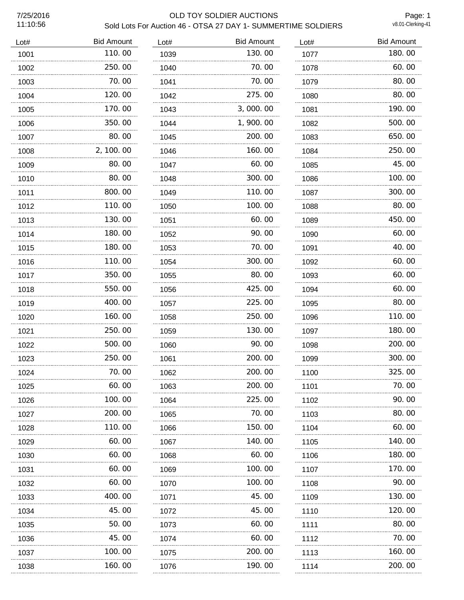# 7/25/2016 OLD TOY SOLDIER AUCTIONS Sold Lots For Auction 46 - OTSA 27 DAY 1- SUMMERTIME SOLDIERS

Page: 1<br>v8.01-Clerking-41

| Lot# | <b>Bid Amount</b> | Lot# | <b>Bid Amount</b> | Lot# | <b>Bid Amount</b> |
|------|-------------------|------|-------------------|------|-------------------|
| 1001 | 110.00            | 1039 | 130.00            | 1077 | 180.00            |
| 1002 | 250.00            | 1040 | 70.00             | 1078 | 60.00             |
| 1003 | 70.00             | 1041 | 70.00             | 1079 | 80.00             |
| 1004 | 120.00            | 1042 | 275.00            | 1080 | 80.00             |
| 1005 | 170.00            | 1043 | 3,000.00          | 1081 | 190.00            |
| 1006 | 350.00            | 1044 | 1,900.00          | 1082 | 500.00            |
| 1007 | 80.00             | 1045 | 200.00            | 1083 | 650.00            |
| 1008 | 2, 100.00         | 1046 | 160.00            | 1084 | 250.00            |
| 1009 | 80.00             | 1047 | 60.00             | 1085 | 45.00             |
| 1010 | 80.00             | 1048 | 300.00            | 1086 | 100.00            |
| 1011 | 800.00            | 1049 | 110.00            | 1087 | 300.00            |
| 1012 | 110.00            | 1050 | 100.00            | 1088 | 80.00             |
| 1013 | 130.00            | 1051 | 60.00             | 1089 | 450.00            |
| 1014 | 180.00            | 1052 | 90.00             | 1090 | 60.00             |
| 1015 | 180.00            | 1053 | 70.00             | 1091 | 40.00             |
| 1016 | 110.00            | 1054 | 300.00            | 1092 | 60.00             |
| 1017 | 350.00            | 1055 | 80.00             | 1093 | 60.00             |
| 1018 | 550.00            | 1056 | 425.00            | 1094 | 60.00             |
| 1019 | 400.00            | 1057 | 225.00            | 1095 | 80.00             |
| 1020 | .<br>160.00       | 1058 | 250.00            | 1096 | 110.00            |
| 1021 | 250.00            | 1059 | 130.00            | 1097 | 180.00            |
| 1022 | 500.00            | 1060 | 90.00             | 1098 | 200.00            |
| 1023 | 250.00            | 1061 | 200.00            | 1099 | 300.00            |
| 1024 | 70.00             | 1062 | 200.00            | 1100 | 325.00            |
| 1025 | 60.00             | 1063 | 200.00            | 1101 | 70.00             |
| 1026 | 100.00            | 1064 | 225.00            | 1102 | 90.00             |
| 1027 | 200.00            | 1065 | 70.00             | 1103 | 80.00             |
| 1028 | 110.00            | 1066 | 150. 00           | 1104 | 60.00             |
| 1029 | 60.00             | 1067 | 140.00            | 1105 | 140.00            |
| 1030 | 60.00             | 1068 | 60.00             | 1106 | 180.00            |
| 1031 | 60.00             | 1069 | 100.00            | 1107 | 170.00            |
| 1032 | 60.00             | 1070 | 100.00            | 1108 | 90.00             |
| 1033 | 400.00            | 1071 | 45.00             | 1109 | 130.00            |
| 1034 | 45.00             | 1072 | 45.00             | 1110 | 120.00            |
| 1035 | 50.00             | 1073 | 60.00             | 1111 | 80.00             |
| 1036 | 45.00             | 1074 | 60.00             | 1112 | 70.00             |
| 1037 | 100. 00           | 1075 | 200.00            | 1113 | 160.00            |
| 1038 | 160.00            | 1076 | 190.00            | 1114 | 200.00            |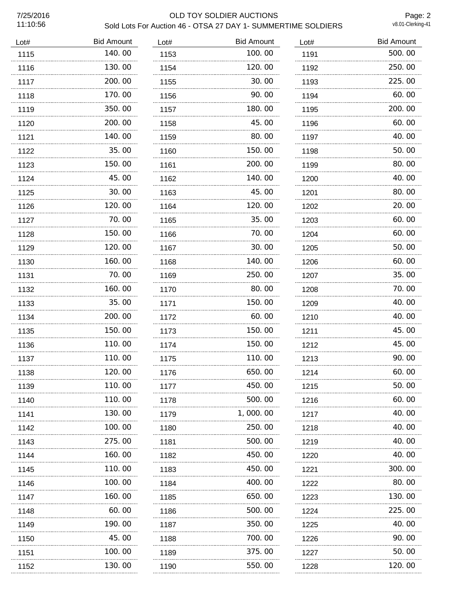# 7/25/2016 OLD TOY SOLDIER AUCTIONS Sold Lots For Auction 46 - OTSA 27 DAY 1- SUMMERTIME SOLDIERS

Page: 2<br>v8.01-Clerking-41

| Lot# | <b>Bid Amount</b> | Lot# | <b>Bid Amount</b> | Lot# | <b>Bid Amount</b> |
|------|-------------------|------|-------------------|------|-------------------|
| 1115 | 140.00            | 1153 | 100.00            | 1191 | 500.00            |
| 1116 | 130.00            | 1154 | 120.00            | 1192 | 250.00            |
| 1117 | 200.00            | 1155 | 30.00             | 1193 | 225.00            |
| 1118 | 170.00            | 1156 | 90.00             | 1194 | 60.00             |
| 1119 | 350.00            | 1157 | 180.00            | 1195 | 200.00            |
| 1120 | 200.00            | 1158 | 45.00             | 1196 | 60.00             |
| 1121 | 140.00            | 1159 | 80.00             | 1197 | 40.00             |
| 1122 | 35.00             | 1160 | 150.00            | 1198 | 50.00             |
| 1123 | 150.00            | 1161 | 200.00            | 1199 | 80.00             |
| 1124 | 45.00             | 1162 | 140.00            | 1200 | 40.00             |
| 1125 | 30.00             | 1163 | 45.00             | 1201 | 80.00             |
| 1126 | 120.00            | 1164 | 120.00            | 1202 | 20.00             |
| 1127 | 70.00             | 1165 | 35.00             | 1203 | 60.00             |
| 1128 | 150.00            | 1166 | 70.00             | 1204 | 60.00             |
| 1129 | 120.00<br>.       | 1167 | 30.00             | 1205 | 50.00             |
| 1130 | 160.00            | 1168 | 140.00            | 1206 | 60.00             |
| 1131 | 70.00             | 1169 | 250.00            | 1207 | 35.00             |
| 1132 | 160.00            | 1170 | 80.00             | 1208 | 70.00             |
| 1133 | 35.00             | 1171 | 150.00            | 1209 | 40.00             |
| 1134 | 200.00            | 1172 | 60.00             | 1210 | 40.00             |
| 1135 | 150.00            | 1173 | 150.00            | 1211 | 45.00             |
| 1136 | 110.00            | 1174 | 150.00            | 1212 | 45.00             |
| 1137 | 110.00            | 1175 | 110.00            | 1213 | 90.00             |
| 1138 | 120.00            | 1176 | 650.00            | 1214 | 60.00             |
| 1139 | 110.00            | 1177 | 450.00            | 1215 | 50.00             |
| 1140 | 110.00            | 1178 | 500.00            | 1216 | 60.00             |
| 1141 | 130.00            | 1179 | 1, 000. 00        | 1217 | 40. OO            |
| 1142 | 100. 00           | 1180 | 250.00            | 1218 | 40.00             |
| 1143 | 275.00            | 1181 | 500.00            | 1219 | 40.00             |
| 1144 | 160.00            | 1182 | 450.00            | 1220 | 40.00             |
| 1145 | 110.00            | 1183 | 450.00            | 1221 | 300.00            |
| 1146 | 100.00            | 1184 | 400.00            | 1222 | 80.00             |
| 1147 | 160.00            | 1185 | 650.00            | 1223 | 130.00            |
| 1148 | 60.00             | 1186 | 500.00            | 1224 | 225.00            |
| 1149 | 190. 00           | 1187 | 350.00            | 1225 | 40.00             |
| 1150 | 45.00             | 1188 | 700.00            | 1226 | 90.00             |
| 1151 | 100. 00           | 1189 | 375.00            | 1227 | 50.00             |
| 1152 | 130. 00           | 1190 | 550.00            | 1228 | 120.00            |
|      |                   |      |                   |      |                   |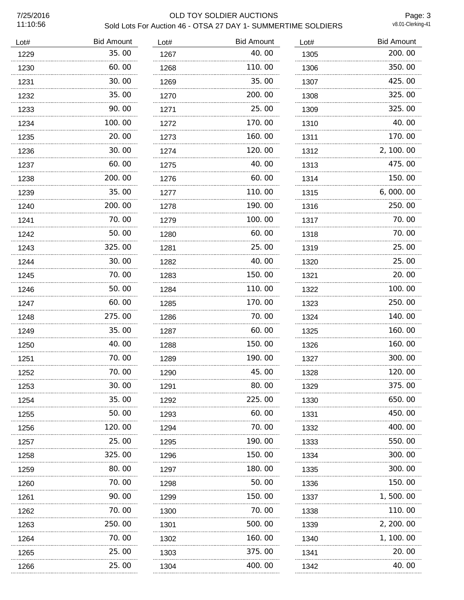# 7/25/2016 OLD TOY SOLDIER AUCTIONS Sold Lots For Auction 46 - OTSA 27 DAY 1- SUMMERTIME SOLDIERS

Page: 3<br>v8.01-Clerking-41

| Lot# | <b>Bid Amount</b> | Lot# | <b>Bid Amount</b> | Lot# | <b>Bid Amount</b> |
|------|-------------------|------|-------------------|------|-------------------|
| 1229 | 35.00             | 1267 | 40.00             | 1305 | 200.00            |
| 1230 | 60.00             | 1268 | 110.00            | 1306 | 350.00            |
| 1231 | 30.00             | 1269 | 35.00             | 1307 | 425.00            |
| 1232 | 35.00             | 1270 | 200.00            | 1308 | 325.00            |
| 1233 | 90.00             | 1271 | 25,00             | 1309 | 325.00            |
| 1234 | 100.00            | 1272 | 170.00            | 1310 | 40.00             |
| 1235 | 20.00             | 1273 | 160.00            | 1311 | 170.00            |
| 1236 | 30.00             | 1274 | 120.00            | 1312 | 2, 100.00         |
| 1237 | 60.00             | 1275 | 40.00             | 1313 | 475.00            |
| 1238 | 200.00            | 1276 | 60.00             | 1314 | 150.00            |
| 1239 | 35.00             | 1277 | 110.00            | 1315 | 6,000.00          |
| 1240 | 200.00            | 1278 | 190.00            | 1316 | 250.00            |
| 1241 | 70.00             | 1279 | 100.00            | 1317 | 70.00             |
| 1242 | 50.00             | 1280 | 60.00             | 1318 | 70.00             |
| 1243 | 325.00            | 1281 | 25.00             | 1319 | 25.00             |
| 1244 | 30.00             | 1282 | 40.00             | 1320 | 25.00             |
| 1245 | 70.00             | 1283 | 150.00            | 1321 | 20.00             |
| 1246 | 50.00             | 1284 | 110.00            | 1322 | 100.00            |
| 1247 | 60.00             | 1285 | 170.00            | 1323 | 250.00            |
| 1248 | 275.00            | 1286 | 70.00             | 1324 | 140.00            |
| 1249 | 35.00             | 1287 | 60.00             | 1325 | 160.00            |
| 1250 | 40.00             | 1288 | 150.00            | 1326 | 160.00            |
| 1251 | 70.00             | 1289 | 190.00            | 1327 | 300.00            |
| 1252 | 70.00             | 1290 | 45.00             | 1328 | 120.00            |
| 1253 | 30.00             | 1291 | 80.00             | 1329 | 375.00            |
| 1254 | 35.00             | 1292 | 225.00            | 1330 | 650.00            |
| 1255 | 50.00             | 1293 | 60.00             | 1331 | 450.00            |
| 1256 | 120.00            | 1294 | 70.00             | 1332 | 400.00            |
| 1257 | 25.00             | 1295 | 190.00            | 1333 | 550.00            |
| 1258 | 325,00            | 1296 | 150,00            | 1334 | 300.00            |
| 1259 | 80.00             | 1297 | 180.00            | 1335 | 300.00            |
| 1260 | 70.00             | 1298 | 50.00             | 1336 | 150.00            |
| 1261 | 90.00             | 1299 | 150.00            | 1337 | 1, 500. 00        |
| 1262 | 70.00             | 1300 | 70.00             | 1338 | 110.00            |
| 1263 | 250.00            | 1301 | 500.00            | 1339 | 2, 200. 00        |
| 1264 | 70.00             | 1302 | 160.00            | 1340 | 1, 100. 00        |
| 1265 | 25.00             | 1303 | 375.00            | 1341 | 20.00             |
| 1266 | <br>25.00         | 1304 | 400.00            | 1342 | 40.00             |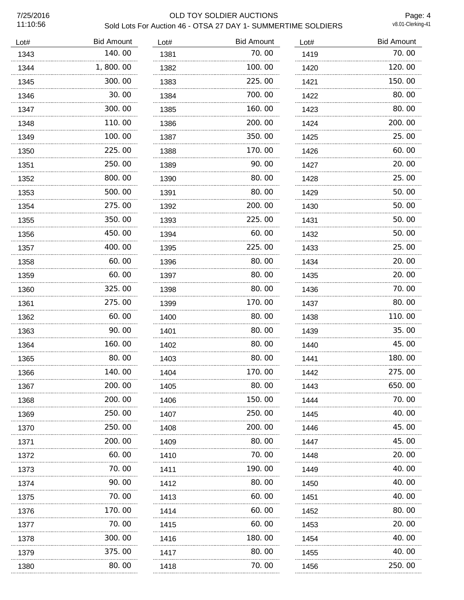# 7/25/2016 OLD TOY SOLDIER AUCTIONS Sold Lots For Auction 46 - OTSA 27 DAY 1- SUMMERTIME SOLDIERS

Page: 4<br>v8.01-Clerking-41

| Lot# | <b>Bid Amount</b> | Lot# | <b>Bid Amount</b> | Lot# | <b>Bid Amount</b> |
|------|-------------------|------|-------------------|------|-------------------|
| 1343 | 140.00            | 1381 | 70.00             | 1419 | 70.00             |
| 1344 | 1,800.00          | 1382 | 100.00            | 1420 | 120.00            |
| 1345 | 300.00            | 1383 | 225,00            | 1421 | 150.00            |
| 1346 | 30.00             | 1384 | 700.00            | 1422 | 80.00             |
| 1347 | 300.00            | 1385 | 160.00            | 1423 | 80.00             |
| 1348 | 110.00            | 1386 | 200.00            | 1424 | 200.00            |
| 1349 | 100.00            | 1387 | 350.00            | 1425 | 25.00             |
| 1350 | 225.00            | 1388 | 170.00            | 1426 | 60.00             |
| 1351 | 250.00            | 1389 | 90.00             | 1427 | 20.00             |
| 1352 | 800.00            | 1390 | 80.00             | 1428 | 25.00             |
| 1353 | 500.00            | 1391 | 80.00             | 1429 | 50.00             |
| 1354 | 275.00            | 1392 | 200.00            | 1430 | 50.00             |
| 1355 | 350.00            | 1393 | 225.00            | 1431 | 50.00             |
| 1356 | 450.00            | 1394 | 60.00             | 1432 | 50.00             |
| 1357 | 400.00<br>.       | 1395 | 225.00            | 1433 | 25.00             |
| 1358 | 60.00             | 1396 | 80.00             | 1434 | 20.00             |
| 1359 | 60.00             | 1397 | 80.00             | 1435 | 20.00<br>.        |
| 1360 | 325.00            | 1398 | 80.00             | 1436 | 70.00             |
| 1361 | 275.00            | 1399 | 170.00            | 1437 | 80.00             |
| 1362 | 60.00             | 1400 | 80.00             | 1438 | 110.00            |
| 1363 | 90.00             | 1401 | 80.00             | 1439 | 35.00             |
| 1364 | 160.00            | 1402 | 80.00             | 1440 | 45.00             |
| 1365 | 80.00             | 1403 | 80.00             | 1441 | 180.00            |
| 1366 | 140.00            | 1404 | 170.00            | 1442 | 275.00            |
| 1367 | 200, 00           | 1405 | 80.00             | 1443 | 650.00            |
| 1368 | 200. 00           | 1406 | 150.00            | 1444 | 70.00             |
| 1369 | 250.00            | 1407 | 250.00            | 1445 | 40.00             |
| 1370 | 250.00            | 1408 | 200.00            | 1446 | 45.00             |
| 1371 | 200.00            | 1409 | 80.00             | 1447 | 45.00             |
| 1372 | 60.00             | 1410 | 70.00             | 1448 | 20.00             |
| 1373 | 70.00             | 1411 | 190.00            | 1449 | 40.00             |
| 1374 | 90.00             | 1412 | 80.00             | 1450 | 40.00             |
| 1375 | 70.00             | 1413 | 60.00             | 1451 | 40.00             |
| 1376 | 170. 00           | 1414 | 60.00             | 1452 | 80.00             |
| 1377 | 70.00             | 1415 | 60.00             | 1453 | 20.00             |
| 1378 | 300.00            | 1416 | 180.00            | 1454 | 40.00             |
| 1379 | 375.00<br>.       | 1417 | 80.00<br>.        | 1455 | 40.00             |
| 1380 | 80.00             | 1418 | 70.00             | 1456 | 250.00            |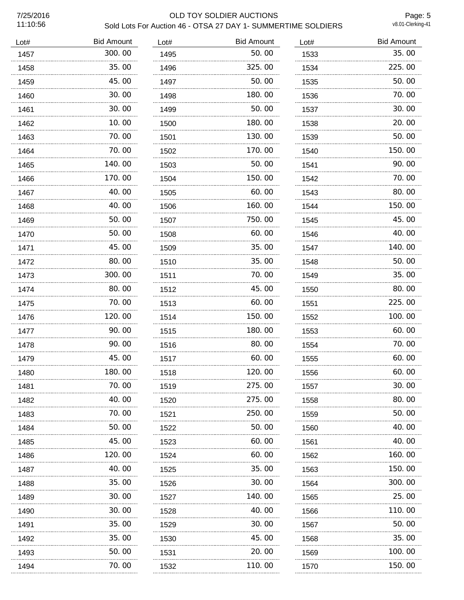# 7/25/2016 OLD TOY SOLDIER AUCTIONS Sold Lots For Auction 46 - OTSA 27 DAY 1- SUMMERTIME SOLDIERS

Page: 5<br>v8.01-Clerking-41

| Lot# | <b>Bid Amount</b> | Lot# | <b>Bid Amount</b> | Lot# | <b>Bid Amount</b> |
|------|-------------------|------|-------------------|------|-------------------|
| 1457 | 300.00            | 1495 | 50.00             | 1533 | 35.00             |
| 1458 | 35.00             | 1496 | 325.00            | 1534 | 225.00            |
| 1459 | 45.00             | 1497 | 50.00             | 1535 | 50.00             |
| 1460 | 30.00             | 1498 | 180.00            | 1536 | 70.00             |
| 1461 | 30.00             | 1499 | 50.00             | 1537 | 30.00             |
| 1462 | 10.00             | 1500 | 180.00            | 1538 | 20.00             |
| 1463 | 70.00             | 1501 | 130.00            | 1539 | 50.00             |
| 1464 | 70.00             | 1502 | 170.00            | 1540 | 150.00            |
| 1465 | 140.00            | 1503 | 50.00             | 1541 | 90.00             |
| 1466 | 170.00            | 1504 | 150.00            | 1542 | 70.00             |
| 1467 | 40.00             | 1505 | 60.00             | 1543 | 80.00             |
| 1468 | 40.00             | 1506 | 160.00            | 1544 | 150.00            |
| 1469 | 50.00             | 1507 | 750.00            | 1545 | 45.00             |
| 1470 | 50.00             | 1508 | 60.00             | 1546 | 40.00             |
| 1471 | 45.00             | 1509 | 35.00             | 1547 | 140.00            |
| 1472 | 80.00             | 1510 | 35.00             | 1548 | 50.00             |
| 1473 | 300.00            | 1511 | 70.00             | 1549 | 35.00             |
| 1474 | 80.00             | 1512 | 45.00             | 1550 | 80.00             |
| 1475 | 70.00             | 1513 | 60.00             | 1551 | 225.00            |
| 1476 | .<br>120.00       | 1514 | 150.00            | 1552 | 100.00            |
| 1477 | 90.00             | 1515 | 180.00            | 1553 | 60.00             |
| 1478 | .<br>90.00        | 1516 | 80.00             | 1554 | 70.00             |
| 1479 | 45.00             | 1517 | 60.00             | 1555 | 60.00             |
| 1480 | 180.00            | 1518 | 120.00            | 1556 | 60.00             |
| 1481 | 70.00             | 1519 | 275.00            | 1557 | 30.00             |
| 1482 | 40.00             | 1520 | 275.00            | 1558 | 80.00             |
| 1483 | 70.00             | 1521 | 250.00            | 1559 | 50.00             |
| 1484 | 50.00             | 1522 | 50. 00            | 1560 | 40.00             |
| 1485 | 45.00             | 1523 | 60. 00            | 1561 | 40.00             |
| 1486 | 120.00            | 1524 | 60.00             | 1562 | 160.00            |
| 1487 | 40.00             | 1525 | 35.00             | 1563 | 150.00            |
| 1488 | 35.00             | 1526 | 30. 00            | 1564 | 300.00            |
| 1489 | 30.00             | 1527 | 140.00            | 1565 | 25.00             |
| 1490 | 30.00             | 1528 | 40.00             | 1566 | 110.00            |
| 1491 | 35.00             | 1529 | 30. 00            | 1567 | 50.00             |
| 1492 | 35.00             | 1530 | 45.00             | 1568 | 35.00             |
| 1493 | 50.00             | 1531 | 20.00             | 1569 | 100.00            |
| 1494 | 70.00             | 1532 | 110.00            | 1570 | 150.00            |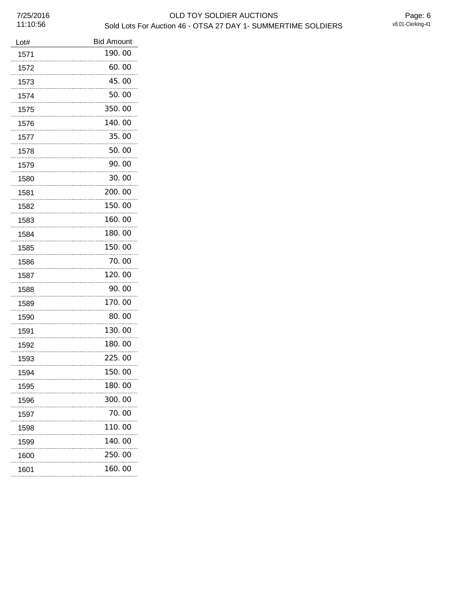| Lot# | <b>Bid Amount</b> |
|------|-------------------|
| 1571 | 190.00            |
| 1572 | 60.00             |
| 1573 | 45.00             |
| 1574 | 50.00             |
| 1575 | 350.00            |
| 1576 | 140.00            |
| 1577 | 35.00             |
| 1578 | 50.00             |
| 1579 | 90.00             |
| 1580 | 30.00             |
| 1581 | 200.00            |
| 1582 | 150.00            |
| 1583 | 160.00            |
| 1584 | 180.00            |
| 1585 | 150.00            |
| 1586 | 70.00             |
| 1587 | 120.00            |
| 1588 | 90.00             |
| 1589 | 170.00            |
| 1590 | 80.00             |
| 1591 | 130.00            |
| 1592 | 180.00            |
| 1593 | 225.00            |
| 1594 | 150.00            |
| 1595 | 180.00            |
| 1596 | 300.00            |
| 1597 | 70. 00            |
| 1598 | 110.00            |
| 1599 | 140.00            |
| 1600 | 250.00            |
| 1601 | 160.00            |
|      |                   |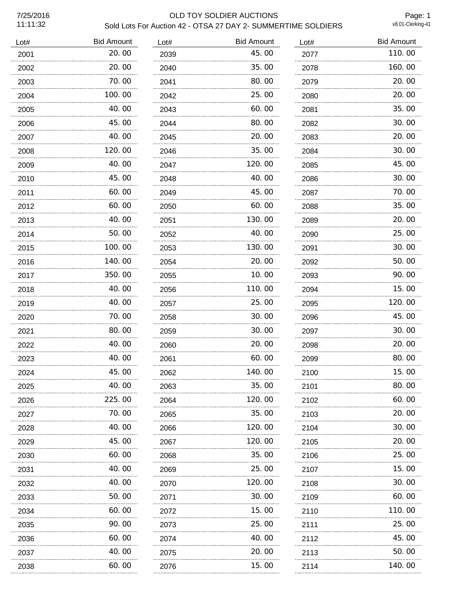11:11:32

# 7/25/2016 OLD TOY SOLDIER AUCTIONS Sold Lots For Auction 42 - OTSA 27 DAY 2- SUMMERTIME SOLDIERS

Page: 1<br>v8.01-Clerking-41

| Lot# | <b>Bid Amount</b> | Lot# | <b>Bid Amount</b> | Lot# | <b>Bid Amount</b> |
|------|-------------------|------|-------------------|------|-------------------|
| 2001 | 20.00             | 2039 | 45.00             | 2077 | 110.00            |
| 2002 | 20.00             | 2040 | 35.00             | 2078 | 160.00            |
| 2003 | 70.00             | 2041 | 80.00             | 2079 | 20.00             |
| 2004 | 100.00            | 2042 | 25.00             | 2080 | 20.00             |
| 2005 | 40.00             | 2043 | 60.00             | 2081 | 35.00             |
| 2006 | 45.00             | 2044 | 80.00             | 2082 | 30.00             |
| 2007 | 40.00             | 2045 | 20.00             | 2083 | 20.00             |
| 2008 | 120.00            | 2046 | 35.00             | 2084 | 30.00             |
| 2009 | 40.00             | 2047 | 120.00            | 2085 | 45.00             |
| 2010 | 45.00             | 2048 | 40.00             | 2086 | 30.00             |
| 2011 | 60.00             | 2049 | 45.00             | 2087 | 70.00             |
| 2012 | 60.00             | 2050 | 60.00             | 2088 | 35.00             |
| 2013 | 40.00             | 2051 | 130.00            | 2089 | 20.00             |
| 2014 | 50.00             | 2052 | 40.00             | 2090 | 25.00             |
| 2015 | 100.00<br>.       | 2053 | 130.00            | 2091 | 30.00             |
| 2016 | 140.00            | 2054 | 20.00             | 2092 | 50.00             |
| 2017 | 350.00            | 2055 | 10.00             | 2093 | 90.00             |
| 2018 | 40.00             | 2056 | 110.00            | 2094 | 15.00             |
| 2019 | 40.00<br>.        | 2057 | 25.00<br>.        | 2095 | 120.00<br>.       |
| 2020 | 70.00             | 2058 | 30.00             | 2096 | 45.00             |
| 2021 | 80.00             | 2059 | 30.00             | 2097 | 30.00             |
| 2022 | 40.00             | 2060 | 20.00             | 2098 | 20.00             |
| 2023 | 40.00             | 2061 | 60.00             | 2099 | 80.00             |
| 2024 | 45.00             | 2062 | 140.00            | 2100 | 15.00             |
| 2025 | 40.00             | 2063 | 35.00             | 2101 | 80.00             |
| 2026 | 225.00            | 2064 | 120.00            | 2102 | 60.00             |
| 2027 | 70.00             | 2065 | 35.00             | 2103 | 20. 00            |
| 2028 | 40. 00            | 2066 | 120. 00           | 2104 | 30.00             |
| 2029 | 45.00             | 2067 | 120.00            | 2105 | 20.00             |
| 2030 | 60.00             | 2068 | 35.00             | 2106 | 25,00             |
| 2031 | 40.00             | 2069 | 25.00             | 2107 | 15.00             |
| 2032 | 40.00             | 2070 | 120. 00           | 2108 | 30.00             |
| 2033 | 50.00             | 2071 | 30.00             | 2109 | 60.00             |
| 2034 | 60.00             | 2072 | 15.00             | 2110 | 110.00            |
| 2035 | 90.00             | 2073 | 25.00             | 2111 | 25.00             |
| 2036 | 60.00             | 2074 | 40.00             | 2112 | 45.00             |
| 2037 | 40.00             | 2075 | 20.00             | 2113 | 50.00             |
| 2038 | 60.00             | 2076 | 15.00             | 2114 | 140. 00           |
|      |                   |      |                   |      |                   |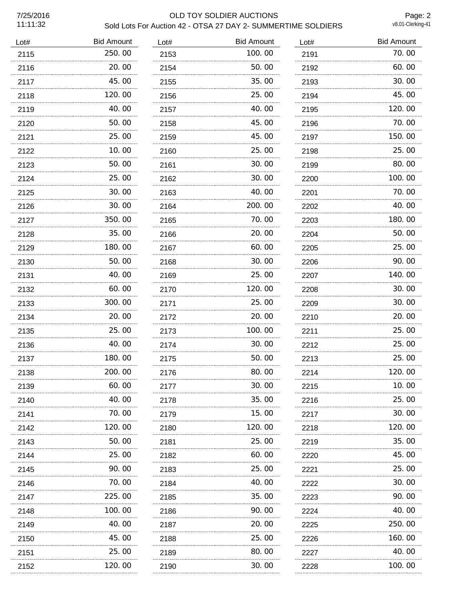11:11:32

# 7/25/2016 OLD TOY SOLDIER AUCTIONS Sold Lots For Auction 42 - OTSA 27 DAY 2- SUMMERTIME SOLDIERS

Page: 2<br>v8.01-Clerking-41

| Lot# | <b>Bid Amount</b> | Lot# | <b>Bid Amount</b> | Lot# | <b>Bid Amount</b> |
|------|-------------------|------|-------------------|------|-------------------|
| 2115 | 250.00            | 2153 | 100.00            | 2191 | 70.00             |
| 2116 | 20.00             | 2154 | 50.00             | 2192 | 60.00             |
| 2117 | 45.00             | 2155 | 35.00             | 2193 | 30.00             |
| 2118 | 120.00            | 2156 | 25.00             | 2194 | 45.00             |
| 2119 | 40.00             | 2157 | 40.00             | 2195 | 120.00            |
| 2120 | 50.00             | 2158 | 45.00             | 2196 | 70.00             |
| 2121 | 25.00             | 2159 | 45.00             | 2197 | 150.00            |
| 2122 | 10.00             | 2160 | 25.00             | 2198 | 25.00             |
| 2123 | 50.00             | 2161 | 30.00             | 2199 | 80.00             |
| 2124 | 25.00             | 2162 | 30.00             | 2200 | 100.00            |
| 2125 | 30.00             | 2163 | 40.00             | 2201 | 70.00             |
| 2126 | 30.00             | 2164 | 200.00            | 2202 | 40.00             |
| 2127 | 350.00<br>.       | 2165 | 70.00<br>         | 2203 | 180.00            |
| 2128 | 35.00             | 2166 | 20.00             | 2204 | 50.00             |
| 2129 | 180.00            | 2167 | 60.00             | 2205 | 25.00             |
| 2130 | 50.00             | 2168 | 30.00             | 2206 | 90.00             |
| 2131 | 40.00             | 2169 | 25.00             | 2207 | 140.00            |
| 2132 | 60.00             | 2170 | 120.00            | 2208 | 30.00             |
| 2133 | 300.00            | 2171 | 25.00             | 2209 | 30.00             |
| 2134 | 20.00             | 2172 | 20.00             | 2210 | 20.00             |
| 2135 | 25.00             | 2173 | 100.00            | 2211 | 25.00             |
| 2136 | 40.00             | 2174 | 30.00             | 2212 | 25.00             |
| 2137 | 180.00            | 2175 | 50.00             | 2213 | 25.00             |
| 2138 | 200.00            | 2176 | 80.00             | 2214 | 120.00            |
| 2139 | 60.00             | 2177 | 30.00             | 2215 | 10.00             |
| 2140 | 40.00             | 2178 | 35.00             | 2216 | 25.00             |
| 2141 | 70.00             | 2179 | 15.00             | 2217 | 30.00             |
| 2142 | 120.00            | 2180 | 120.00            | 2218 | 120, 00           |
| 2143 | 50.00             | 2181 | 25,00             | 2219 | 35.00             |
| 2144 | 25,00             | 2182 | 60.00             | 2220 | 45.00             |
| 2145 | 90.00             | 2183 | 25.00             | 2221 | 25.00             |
| 2146 | 70.00             | 2184 | 40.00             | 2222 | 30.00             |
| 2147 | 225,00            | 2185 | 35.00             | 2223 | 90.00             |
| 2148 | .<br>100. 00      | 2186 | 90.00             | 2224 | 40.00             |
| 2149 | 40.00             | 2187 | 20.00             | 2225 | 250.00            |
| 2150 | .<br>45.00        | 2188 | .<br>25.00        | 2226 | 160.00            |
| 2151 | 25.00             | 2189 | 80.00             | 2227 | 40.00             |
| 2152 | 120.00            | 2190 | 30.00             | 2228 | 100.00            |
|      |                   |      |                   |      |                   |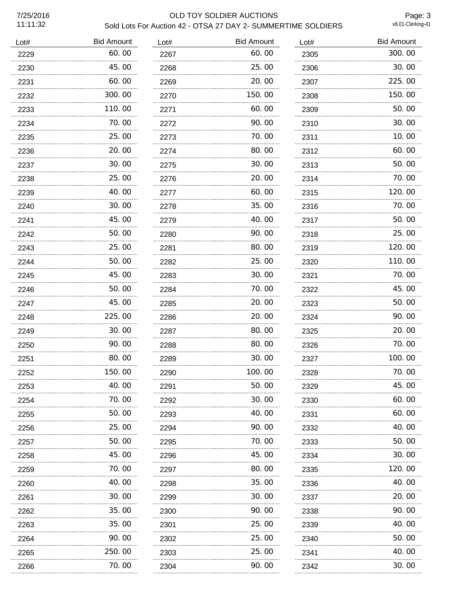11:11:32

# 7/25/2016 OLD TOY SOLDIER AUCTIONS Sold Lots For Auction 42 - OTSA 27 DAY 2- SUMMERTIME SOLDIERS

Page: 3<br>v8.01-Clerking-41

| 60.00<br>300.00<br>60.00<br>2229<br>2267<br>2305<br>45.00<br>25.00<br>30.00<br>2230<br>2268<br>2306<br>60.00<br>20.00<br>225.00<br>2231<br>2269<br>2307<br>150.00<br>300.00<br>150.00<br>2232<br>2270<br>2308<br>110.00<br>60.00<br>50.00<br>2233<br>2271<br>2309<br>70.00<br>90.00<br>30.00<br>2234<br>2272<br>2310<br>25.00<br>70.00<br>10.00<br>2311<br>2235<br>2273<br>20.00<br>80.00<br>60.00<br>2274<br>2312<br>2236<br>30.00<br>30.00<br>50.00<br>2313<br>2237<br>2275<br>70.00<br>25.00<br>20.00<br>2238<br>2276<br>2314<br>40.00<br>120.00<br>60.00<br>2239<br>2277<br>2315<br>30.00<br>35.00<br>70.00<br>2240<br>2278<br>2316<br>45.00<br>40.00<br>50.00<br>2279<br>2317<br>2241<br>50.00<br>90.00<br>25.00<br>2242<br>2280<br>2318<br>80.00<br>120.00<br>25.00<br>2281<br>2319<br>2243<br>.<br>50.00<br>110.00<br>25.00<br>2244<br>2282<br>2320<br>45.00<br>70.00<br>30.00<br>2283<br>2245<br>2321<br>50.00<br>45.00<br>70.00<br>2284<br>2322<br>2246<br>45.00<br>20.00<br>50.00<br>2247<br>2285<br>2323<br>225.00<br>20.00<br>90.00<br>2286<br>2324<br>2248<br>30.00<br>20.00<br>80.00<br>2287<br>2325<br>2249<br>70.00<br>90.00<br>80.00<br>2250<br>2288<br>2326<br>80.00<br>30.00<br>100.00<br>2251<br>2327<br>2289<br>150.00<br>100.00<br>70.00<br>2252<br>2290<br>2328<br>40.00<br>50.00<br>45.00<br>2253<br>2291<br>2329<br>70.00<br>30. 00<br>60.00<br>2254<br>2292<br>2330<br>50.00<br>40.00<br>60.00<br>2293<br>2255<br>2331<br>25.00<br>90.00<br>40.00<br>2256<br>2294<br>2332<br>50.00<br>70.00<br>50.00<br>2295<br>2333<br>2257<br>45.00<br>45.00<br>30.00<br>2258<br>2296<br>2334<br>80.00<br>70.00<br>120.00<br>2297<br>2335<br>2259<br>40.00<br>35.00<br>40.00<br>2260<br>2298<br>2336<br>30.00<br>30.00<br>20.00<br>2299<br>2337<br>2261<br>35.00<br>90.00<br>90.00<br>2262<br>2300<br>2338<br>35.00<br>25.00<br>40.00<br>2263<br>2301<br>2339<br>90.00<br>25.00<br>50.00<br>2264<br>2302<br>2340<br>250.00<br>25.00<br>40.00<br>2265<br>2303<br>2341<br>.<br>.<br>70.00<br>90.00<br>30.00<br>2304<br>2342<br>2266 | Lot# | <b>Bid Amount</b> | Lot# | <b>Bid Amount</b> | Lot# | <b>Bid Amount</b> |
|-----------------------------------------------------------------------------------------------------------------------------------------------------------------------------------------------------------------------------------------------------------------------------------------------------------------------------------------------------------------------------------------------------------------------------------------------------------------------------------------------------------------------------------------------------------------------------------------------------------------------------------------------------------------------------------------------------------------------------------------------------------------------------------------------------------------------------------------------------------------------------------------------------------------------------------------------------------------------------------------------------------------------------------------------------------------------------------------------------------------------------------------------------------------------------------------------------------------------------------------------------------------------------------------------------------------------------------------------------------------------------------------------------------------------------------------------------------------------------------------------------------------------------------------------------------------------------------------------------------------------------------------------------------------------------------------------------------------------------------------------------------------------------------------------------------------------------------------------------------------------------------------------------------------------------------------------------------------------------------------------------------------------------------------------|------|-------------------|------|-------------------|------|-------------------|
|                                                                                                                                                                                                                                                                                                                                                                                                                                                                                                                                                                                                                                                                                                                                                                                                                                                                                                                                                                                                                                                                                                                                                                                                                                                                                                                                                                                                                                                                                                                                                                                                                                                                                                                                                                                                                                                                                                                                                                                                                                               |      |                   |      |                   |      |                   |
|                                                                                                                                                                                                                                                                                                                                                                                                                                                                                                                                                                                                                                                                                                                                                                                                                                                                                                                                                                                                                                                                                                                                                                                                                                                                                                                                                                                                                                                                                                                                                                                                                                                                                                                                                                                                                                                                                                                                                                                                                                               |      |                   |      |                   |      |                   |
|                                                                                                                                                                                                                                                                                                                                                                                                                                                                                                                                                                                                                                                                                                                                                                                                                                                                                                                                                                                                                                                                                                                                                                                                                                                                                                                                                                                                                                                                                                                                                                                                                                                                                                                                                                                                                                                                                                                                                                                                                                               |      |                   |      |                   |      |                   |
|                                                                                                                                                                                                                                                                                                                                                                                                                                                                                                                                                                                                                                                                                                                                                                                                                                                                                                                                                                                                                                                                                                                                                                                                                                                                                                                                                                                                                                                                                                                                                                                                                                                                                                                                                                                                                                                                                                                                                                                                                                               |      |                   |      |                   |      |                   |
|                                                                                                                                                                                                                                                                                                                                                                                                                                                                                                                                                                                                                                                                                                                                                                                                                                                                                                                                                                                                                                                                                                                                                                                                                                                                                                                                                                                                                                                                                                                                                                                                                                                                                                                                                                                                                                                                                                                                                                                                                                               |      |                   |      |                   |      |                   |
|                                                                                                                                                                                                                                                                                                                                                                                                                                                                                                                                                                                                                                                                                                                                                                                                                                                                                                                                                                                                                                                                                                                                                                                                                                                                                                                                                                                                                                                                                                                                                                                                                                                                                                                                                                                                                                                                                                                                                                                                                                               |      |                   |      |                   |      |                   |
|                                                                                                                                                                                                                                                                                                                                                                                                                                                                                                                                                                                                                                                                                                                                                                                                                                                                                                                                                                                                                                                                                                                                                                                                                                                                                                                                                                                                                                                                                                                                                                                                                                                                                                                                                                                                                                                                                                                                                                                                                                               |      |                   |      |                   |      |                   |
|                                                                                                                                                                                                                                                                                                                                                                                                                                                                                                                                                                                                                                                                                                                                                                                                                                                                                                                                                                                                                                                                                                                                                                                                                                                                                                                                                                                                                                                                                                                                                                                                                                                                                                                                                                                                                                                                                                                                                                                                                                               |      |                   |      |                   |      |                   |
|                                                                                                                                                                                                                                                                                                                                                                                                                                                                                                                                                                                                                                                                                                                                                                                                                                                                                                                                                                                                                                                                                                                                                                                                                                                                                                                                                                                                                                                                                                                                                                                                                                                                                                                                                                                                                                                                                                                                                                                                                                               |      |                   |      |                   |      |                   |
|                                                                                                                                                                                                                                                                                                                                                                                                                                                                                                                                                                                                                                                                                                                                                                                                                                                                                                                                                                                                                                                                                                                                                                                                                                                                                                                                                                                                                                                                                                                                                                                                                                                                                                                                                                                                                                                                                                                                                                                                                                               |      |                   |      |                   |      |                   |
|                                                                                                                                                                                                                                                                                                                                                                                                                                                                                                                                                                                                                                                                                                                                                                                                                                                                                                                                                                                                                                                                                                                                                                                                                                                                                                                                                                                                                                                                                                                                                                                                                                                                                                                                                                                                                                                                                                                                                                                                                                               |      |                   |      |                   |      |                   |
|                                                                                                                                                                                                                                                                                                                                                                                                                                                                                                                                                                                                                                                                                                                                                                                                                                                                                                                                                                                                                                                                                                                                                                                                                                                                                                                                                                                                                                                                                                                                                                                                                                                                                                                                                                                                                                                                                                                                                                                                                                               |      |                   |      |                   |      |                   |
|                                                                                                                                                                                                                                                                                                                                                                                                                                                                                                                                                                                                                                                                                                                                                                                                                                                                                                                                                                                                                                                                                                                                                                                                                                                                                                                                                                                                                                                                                                                                                                                                                                                                                                                                                                                                                                                                                                                                                                                                                                               |      |                   |      |                   |      |                   |
|                                                                                                                                                                                                                                                                                                                                                                                                                                                                                                                                                                                                                                                                                                                                                                                                                                                                                                                                                                                                                                                                                                                                                                                                                                                                                                                                                                                                                                                                                                                                                                                                                                                                                                                                                                                                                                                                                                                                                                                                                                               |      |                   |      |                   |      |                   |
|                                                                                                                                                                                                                                                                                                                                                                                                                                                                                                                                                                                                                                                                                                                                                                                                                                                                                                                                                                                                                                                                                                                                                                                                                                                                                                                                                                                                                                                                                                                                                                                                                                                                                                                                                                                                                                                                                                                                                                                                                                               |      |                   |      |                   |      |                   |
|                                                                                                                                                                                                                                                                                                                                                                                                                                                                                                                                                                                                                                                                                                                                                                                                                                                                                                                                                                                                                                                                                                                                                                                                                                                                                                                                                                                                                                                                                                                                                                                                                                                                                                                                                                                                                                                                                                                                                                                                                                               |      |                   |      |                   |      |                   |
|                                                                                                                                                                                                                                                                                                                                                                                                                                                                                                                                                                                                                                                                                                                                                                                                                                                                                                                                                                                                                                                                                                                                                                                                                                                                                                                                                                                                                                                                                                                                                                                                                                                                                                                                                                                                                                                                                                                                                                                                                                               |      |                   |      |                   |      |                   |
|                                                                                                                                                                                                                                                                                                                                                                                                                                                                                                                                                                                                                                                                                                                                                                                                                                                                                                                                                                                                                                                                                                                                                                                                                                                                                                                                                                                                                                                                                                                                                                                                                                                                                                                                                                                                                                                                                                                                                                                                                                               |      |                   |      |                   |      |                   |
|                                                                                                                                                                                                                                                                                                                                                                                                                                                                                                                                                                                                                                                                                                                                                                                                                                                                                                                                                                                                                                                                                                                                                                                                                                                                                                                                                                                                                                                                                                                                                                                                                                                                                                                                                                                                                                                                                                                                                                                                                                               |      |                   |      |                   |      |                   |
|                                                                                                                                                                                                                                                                                                                                                                                                                                                                                                                                                                                                                                                                                                                                                                                                                                                                                                                                                                                                                                                                                                                                                                                                                                                                                                                                                                                                                                                                                                                                                                                                                                                                                                                                                                                                                                                                                                                                                                                                                                               |      |                   |      |                   |      |                   |
|                                                                                                                                                                                                                                                                                                                                                                                                                                                                                                                                                                                                                                                                                                                                                                                                                                                                                                                                                                                                                                                                                                                                                                                                                                                                                                                                                                                                                                                                                                                                                                                                                                                                                                                                                                                                                                                                                                                                                                                                                                               |      |                   |      |                   |      |                   |
|                                                                                                                                                                                                                                                                                                                                                                                                                                                                                                                                                                                                                                                                                                                                                                                                                                                                                                                                                                                                                                                                                                                                                                                                                                                                                                                                                                                                                                                                                                                                                                                                                                                                                                                                                                                                                                                                                                                                                                                                                                               |      |                   |      |                   |      |                   |
|                                                                                                                                                                                                                                                                                                                                                                                                                                                                                                                                                                                                                                                                                                                                                                                                                                                                                                                                                                                                                                                                                                                                                                                                                                                                                                                                                                                                                                                                                                                                                                                                                                                                                                                                                                                                                                                                                                                                                                                                                                               |      |                   |      |                   |      |                   |
|                                                                                                                                                                                                                                                                                                                                                                                                                                                                                                                                                                                                                                                                                                                                                                                                                                                                                                                                                                                                                                                                                                                                                                                                                                                                                                                                                                                                                                                                                                                                                                                                                                                                                                                                                                                                                                                                                                                                                                                                                                               |      |                   |      |                   |      |                   |
|                                                                                                                                                                                                                                                                                                                                                                                                                                                                                                                                                                                                                                                                                                                                                                                                                                                                                                                                                                                                                                                                                                                                                                                                                                                                                                                                                                                                                                                                                                                                                                                                                                                                                                                                                                                                                                                                                                                                                                                                                                               |      |                   |      |                   |      |                   |
|                                                                                                                                                                                                                                                                                                                                                                                                                                                                                                                                                                                                                                                                                                                                                                                                                                                                                                                                                                                                                                                                                                                                                                                                                                                                                                                                                                                                                                                                                                                                                                                                                                                                                                                                                                                                                                                                                                                                                                                                                                               |      |                   |      |                   |      |                   |
|                                                                                                                                                                                                                                                                                                                                                                                                                                                                                                                                                                                                                                                                                                                                                                                                                                                                                                                                                                                                                                                                                                                                                                                                                                                                                                                                                                                                                                                                                                                                                                                                                                                                                                                                                                                                                                                                                                                                                                                                                                               |      |                   |      |                   |      |                   |
|                                                                                                                                                                                                                                                                                                                                                                                                                                                                                                                                                                                                                                                                                                                                                                                                                                                                                                                                                                                                                                                                                                                                                                                                                                                                                                                                                                                                                                                                                                                                                                                                                                                                                                                                                                                                                                                                                                                                                                                                                                               |      |                   |      |                   |      |                   |
|                                                                                                                                                                                                                                                                                                                                                                                                                                                                                                                                                                                                                                                                                                                                                                                                                                                                                                                                                                                                                                                                                                                                                                                                                                                                                                                                                                                                                                                                                                                                                                                                                                                                                                                                                                                                                                                                                                                                                                                                                                               |      |                   |      |                   |      |                   |
|                                                                                                                                                                                                                                                                                                                                                                                                                                                                                                                                                                                                                                                                                                                                                                                                                                                                                                                                                                                                                                                                                                                                                                                                                                                                                                                                                                                                                                                                                                                                                                                                                                                                                                                                                                                                                                                                                                                                                                                                                                               |      |                   |      |                   |      |                   |
|                                                                                                                                                                                                                                                                                                                                                                                                                                                                                                                                                                                                                                                                                                                                                                                                                                                                                                                                                                                                                                                                                                                                                                                                                                                                                                                                                                                                                                                                                                                                                                                                                                                                                                                                                                                                                                                                                                                                                                                                                                               |      |                   |      |                   |      |                   |
|                                                                                                                                                                                                                                                                                                                                                                                                                                                                                                                                                                                                                                                                                                                                                                                                                                                                                                                                                                                                                                                                                                                                                                                                                                                                                                                                                                                                                                                                                                                                                                                                                                                                                                                                                                                                                                                                                                                                                                                                                                               |      |                   |      |                   |      |                   |
|                                                                                                                                                                                                                                                                                                                                                                                                                                                                                                                                                                                                                                                                                                                                                                                                                                                                                                                                                                                                                                                                                                                                                                                                                                                                                                                                                                                                                                                                                                                                                                                                                                                                                                                                                                                                                                                                                                                                                                                                                                               |      |                   |      |                   |      |                   |
|                                                                                                                                                                                                                                                                                                                                                                                                                                                                                                                                                                                                                                                                                                                                                                                                                                                                                                                                                                                                                                                                                                                                                                                                                                                                                                                                                                                                                                                                                                                                                                                                                                                                                                                                                                                                                                                                                                                                                                                                                                               |      |                   |      |                   |      |                   |
|                                                                                                                                                                                                                                                                                                                                                                                                                                                                                                                                                                                                                                                                                                                                                                                                                                                                                                                                                                                                                                                                                                                                                                                                                                                                                                                                                                                                                                                                                                                                                                                                                                                                                                                                                                                                                                                                                                                                                                                                                                               |      |                   |      |                   |      |                   |
|                                                                                                                                                                                                                                                                                                                                                                                                                                                                                                                                                                                                                                                                                                                                                                                                                                                                                                                                                                                                                                                                                                                                                                                                                                                                                                                                                                                                                                                                                                                                                                                                                                                                                                                                                                                                                                                                                                                                                                                                                                               |      |                   |      |                   |      |                   |
|                                                                                                                                                                                                                                                                                                                                                                                                                                                                                                                                                                                                                                                                                                                                                                                                                                                                                                                                                                                                                                                                                                                                                                                                                                                                                                                                                                                                                                                                                                                                                                                                                                                                                                                                                                                                                                                                                                                                                                                                                                               |      |                   |      |                   |      |                   |
|                                                                                                                                                                                                                                                                                                                                                                                                                                                                                                                                                                                                                                                                                                                                                                                                                                                                                                                                                                                                                                                                                                                                                                                                                                                                                                                                                                                                                                                                                                                                                                                                                                                                                                                                                                                                                                                                                                                                                                                                                                               |      |                   |      |                   |      |                   |